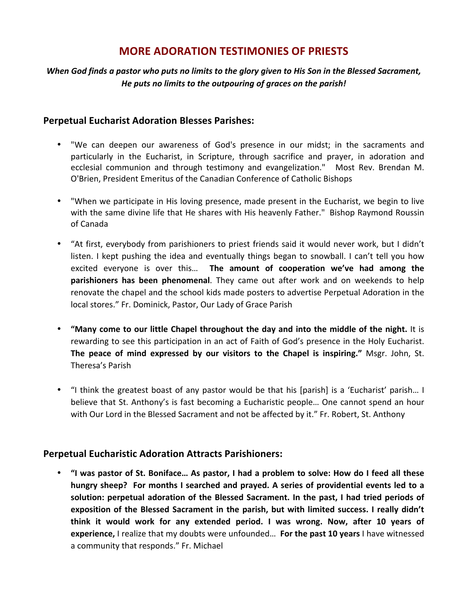# **MORE ADORATION TESTIMONIES OF PRIESTS**

### *When* God finds a pastor who puts no limits to the glory given to His Son in the Blessed Sacrament, He puts no limits to the outpouring of graces on the parish!

#### **Perpetual Eucharist Adoration Blesses Parishes:**

- "We can deepen our awareness of God's presence in our midst; in the sacraments and particularly in the Eucharist, in Scripture, through sacrifice and prayer, in adoration and ecclesial communion and through testimony and evangelization." Most Rev. Brendan M. O'Brien, President Emeritus of the Canadian Conference of Catholic Bishops
- "When we participate in His loving presence, made present in the Eucharist, we begin to live with the same divine life that He shares with His heavenly Father." Bishop Raymond Roussin of Canada
- "At first, everybody from parishioners to priest friends said it would never work, but I didn't listen. I kept pushing the idea and eventually things began to snowball. I can't tell you how excited everyone is over this... The amount of cooperation we've had among the **parishioners has been phenomenal**. They came out after work and on weekends to help renovate the chapel and the school kids made posters to advertise Perpetual Adoration in the local stores." Fr. Dominick, Pastor, Our Lady of Grace Parish
- "Many come to our little Chapel throughout the day and into the middle of the night. It is rewarding to see this participation in an act of Faith of God's presence in the Holy Eucharist. **The peace of mind expressed by our visitors to the Chapel is inspiring."** Msgr. John, St. Theresa's Parish
- "I think the greatest boast of any pastor would be that his [parish] is a 'Eucharist' parish... I believe that St. Anthony's is fast becoming a Eucharistic people... One cannot spend an hour with Our Lord in the Blessed Sacrament and not be affected by it." Fr. Robert, St. Anthony

#### **Perpetual Eucharistic Adoration Attracts Parishioners:**

• "I was pastor of St. Boniface... As pastor, I had a problem to solve: How do I feed all these hungry sheep? For months I searched and prayed. A series of providential events led to a solution: perpetual adoration of the Blessed Sacrament. In the past, I had tried periods of exposition of the Blessed Sacrament in the parish, but with limited success. I really didn't think it would work for any extended period. I was wrong. Now, after 10 years of **experience,** I realize that my doubts were unfounded... For the past 10 years I have witnessed a community that responds." Fr. Michael